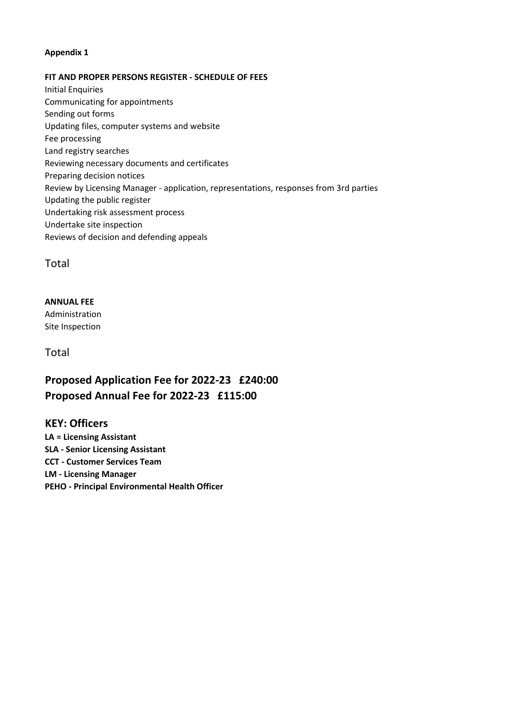## **Appendix 1**

#### **FIT AND PROPER PERSONS REGISTER - SCHEDULE OF FEES**

Initial Enquiries Communicating for appointments Sending out forms Updating files, computer systems and website Fee processing Land registry searches Reviewing necessary documents and certificates Preparing decision notices Review by Licensing Manager - application, representations, responses from 3rd parties Updating the public register Undertaking risk assessment process Undertake site inspection Reviews of decision and defending appeals

Total

### **ANNUAL FEE**

Administration Site Inspection

Total

# **Proposed Application Fee for 2022-23 £240:00 Proposed Annual Fee for 2022-23 £115:00**

# **KEY: Officers**

**LA = Licensing Assistant SLA - Senior Licensing Assistant CCT - Customer Services Team LM - Licensing Manager PEHO - Principal Environmental Health Officer**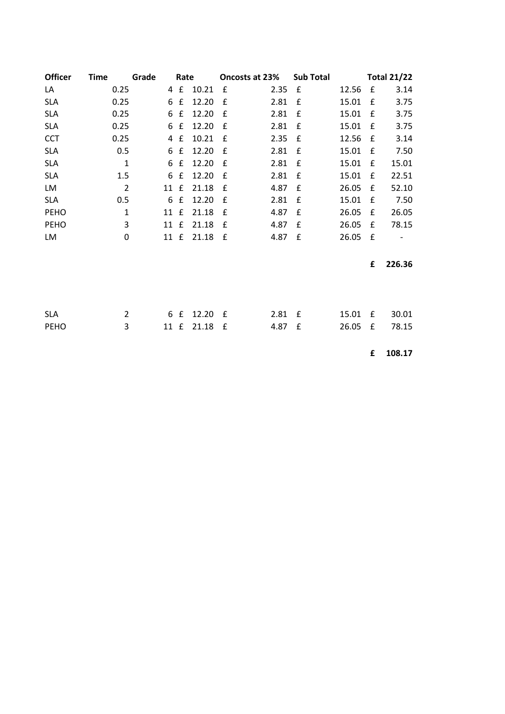| <b>Officer</b> | <b>Time</b>    | Grade | Rate        |       | Oncosts at 23% |      | <b>Sub Total</b> | <b>Total 21/22</b> |   |        |
|----------------|----------------|-------|-------------|-------|----------------|------|------------------|--------------------|---|--------|
| LA             | 0.25           | 4     | £           | 10.21 | £              | 2.35 | £                | 12.56              | £ | 3.14   |
| <b>SLA</b>     | 0.25           | 6     | £           | 12.20 | £              | 2.81 | £                | 15.01              | £ | 3.75   |
| <b>SLA</b>     | 0.25           | 6     | £           | 12.20 | £              | 2.81 | £                | 15.01              | £ | 3.75   |
| <b>SLA</b>     | 0.25           | 6     | £           | 12.20 | £              | 2.81 | £                | 15.01              | £ | 3.75   |
| <b>CCT</b>     | 0.25           | 4     | £           | 10.21 | £              | 2.35 | £                | 12.56              | £ | 3.14   |
| <b>SLA</b>     | 0.5            | 6     | £           | 12.20 | £              | 2.81 | £                | 15.01              | £ | 7.50   |
| <b>SLA</b>     | $\mathbf 1$    | 6     | £           | 12.20 | £              | 2.81 | £                | 15.01              | £ | 15.01  |
| <b>SLA</b>     | 1.5            | 6     | £           | 12.20 | £              | 2.81 | £                | 15.01              | £ | 22.51  |
| LM             | $\overline{2}$ | 11    | £           | 21.18 | £              | 4.87 | £                | 26.05              | £ | 52.10  |
| <b>SLA</b>     | 0.5            | 6     | $\mathbf f$ | 12.20 | £              | 2.81 | £                | 15.01              | £ | 7.50   |
| <b>PEHO</b>    | $\mathbf{1}$   | 11    | $\mathbf f$ | 21.18 | £              | 4.87 | £                | 26.05              | £ | 26.05  |
| <b>PEHO</b>    | 3              | 11 £  |             | 21.18 | £              | 4.87 | £                | 26.05              | £ | 78.15  |
| LM             | 0              |       | 11 £        | 21.18 | $\mathbf f$    | 4.87 | $\mathbf{f}$     | 26.05              | £ |        |
|                |                |       |             |       |                |      |                  |                    |   |        |
|                |                |       |             |       |                |      |                  |                    | £ | 226.36 |
|                |                |       |             |       |                |      |                  |                    |   |        |
|                |                |       |             |       |                |      |                  |                    |   |        |
|                |                |       |             |       |                |      |                  |                    |   |        |
| <b>SLA</b>     | $\overline{2}$ | 6     | £           | 12.20 | £              | 2.81 | £                | 15.01              | £ | 30.01  |
| <b>PEHO</b>    | 3              | 11    | £           | 21.18 | £              | 4.87 | £                | 26.05              | £ | 78.15  |
|                |                |       |             |       |                |      |                  |                    |   |        |

**£ 108.17**